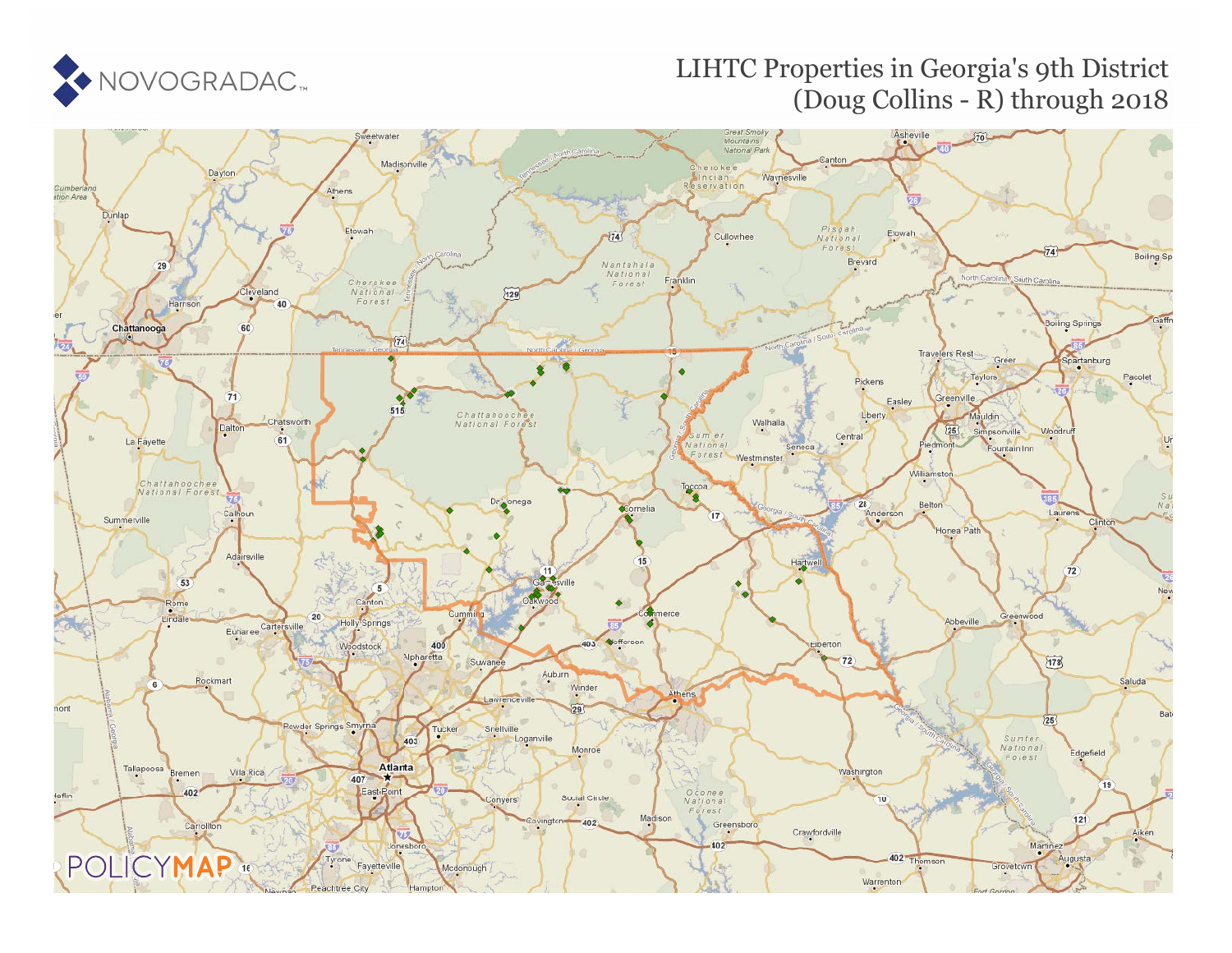

# LIHTC Properties in Georgia's 9th District (Doug Collins - R) through 2018

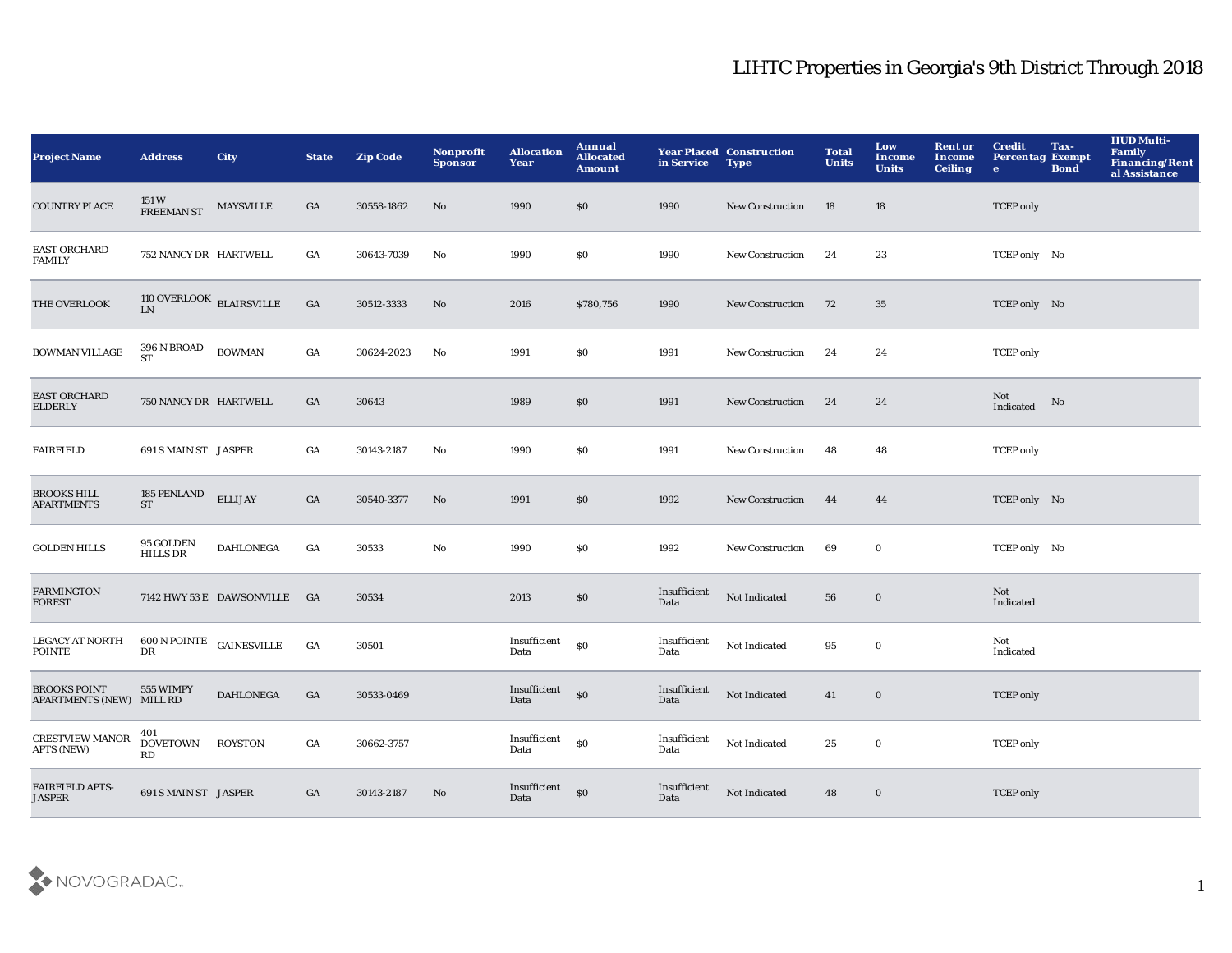| <b>Project Name</b>                             | <b>Address</b>                          | City                         | <b>State</b> | <b>Zip Code</b> | Nonprofit<br><b>Sponsor</b> | <b>Allocation</b><br>Year | Annual<br><b>Allocated</b><br><b>Amount</b> | in Service           | <b>Year Placed Construction</b><br><b>Type</b> | <b>Total</b><br><b>Units</b> | Low<br><b>Income</b><br><b>Units</b> | <b>Rent or</b><br>Income<br><b>Ceiling</b> | <b>Credit</b><br><b>Percentag Exempt</b><br>$\bullet$ | Tax-<br><b>Bond</b> | <b>HUD Multi-</b><br>Family<br><b>Financing/Rent</b><br>al Assistance |
|-------------------------------------------------|-----------------------------------------|------------------------------|--------------|-----------------|-----------------------------|---------------------------|---------------------------------------------|----------------------|------------------------------------------------|------------------------------|--------------------------------------|--------------------------------------------|-------------------------------------------------------|---------------------|-----------------------------------------------------------------------|
| <b>COUNTRY PLACE</b>                            | 151 W<br><b>FREEMAN ST</b>              | <b>MAYSVILLE</b>             | GA           | 30558-1862      | No                          | 1990                      | \$0                                         | 1990                 | <b>New Construction</b>                        | 18                           | 18                                   |                                            | <b>TCEP</b> only                                      |                     |                                                                       |
| <b>EAST ORCHARD</b><br><b>FAMILY</b>            | 752 NANCY DR HARTWELL                   |                              | GA           | 30643-7039      | No                          | 1990                      | \$0                                         | 1990                 | New Construction                               | 24                           | 23                                   |                                            | TCEP only No                                          |                     |                                                                       |
| THE OVERLOOK                                    | $110$ OVERLOOK $\,$ BLAIRSVILLE $\,$ LN |                              | GA           | 30512-3333      | No                          | 2016                      | \$780,756                                   | 1990                 | <b>New Construction</b>                        | 72                           | 35                                   |                                            | TCEP only No                                          |                     |                                                                       |
| <b>BOWMAN VILLAGE</b>                           | 396 N BROAD<br><b>ST</b>                | <b>BOWMAN</b>                | GA           | 30624-2023      | $\mathbf{N}\mathbf{o}$      | 1991                      | S <sub>0</sub>                              | 1991                 | New Construction                               | 24                           | 24                                   |                                            | <b>TCEP</b> only                                      |                     |                                                                       |
| <b>EAST ORCHARD</b><br><b>ELDERLY</b>           | 750 NANCY DR HARTWELL                   |                              | GA           | 30643           |                             | 1989                      | $\$0$                                       | 1991                 | New Construction                               | 24                           | 24                                   |                                            | Not<br>Indicated                                      | No                  |                                                                       |
| <b>FAIRFIELD</b>                                | 691 S MAIN ST JASPER                    |                              | GA           | 30143-2187      | No                          | 1990                      | \$0\$                                       | 1991                 | <b>New Construction</b>                        | 48                           | 48                                   |                                            | <b>TCEP</b> only                                      |                     |                                                                       |
| <b>BROOKS HILL</b><br><b>APARTMENTS</b>         | 185 PENLAND<br><b>ST</b>                | <b>ELLIJAY</b>               | GA           | 30540-3377      | No                          | 1991                      | $\$0$                                       | 1992                 | New Construction                               | 44                           | 44                                   |                                            | TCEP only No                                          |                     |                                                                       |
| <b>GOLDEN HILLS</b>                             | 95 GOLDEN<br><b>HILLS DR</b>            | <b>DAHLONEGA</b>             | GA           | 30533           | No                          | 1990                      | $\$0$                                       | 1992                 | <b>New Construction</b>                        | 69                           | $\bf{0}$                             |                                            | TCEP only No                                          |                     |                                                                       |
| <b>FARMINGTON</b><br><b>FOREST</b>              |                                         | 7142 HWY 53 E DAWSONVILLE GA |              | 30534           |                             | 2013                      | $\$0$                                       | Insufficient<br>Data | Not Indicated                                  | 56                           | $\bf{0}$                             |                                            | <b>Not</b><br>Indicated                               |                     |                                                                       |
| <b>LEGACY AT NORTH</b><br>POINTE                | $600$ N POINTE $\,$ GAINESVILLE<br>DR   |                              | GA           | 30501           |                             | Insufficient<br>Data      | $\$0$                                       | Insufficient<br>Data | Not Indicated                                  | 95                           | $\bf{0}$                             |                                            | Not<br>Indicated                                      |                     |                                                                       |
| <b>BROOKS POINT</b><br>APARTMENTS (NEW) MILL RD | 555 WIMPY                               | <b>DAHLONEGA</b>             | GA           | 30533-0469      |                             | Insufficient<br>Data      | $\mathbf{S}$                                | Insufficient<br>Data | Not Indicated                                  | 41                           | $\bf{0}$                             |                                            | <b>TCEP</b> only                                      |                     |                                                                       |
| <b>CRESTVIEW MANOR</b><br><b>APTS (NEW)</b>     | 401<br><b>DOVETOWN</b><br>RD            | <b>ROYSTON</b>               | GA           | 30662-3757      |                             | Insufficient<br>Data      | $\$0$                                       | Insufficient<br>Data | Not Indicated                                  | 25                           | $\mathbf 0$                          |                                            | <b>TCEP</b> only                                      |                     |                                                                       |
| FAIRFIELD APTS-<br><b>JASPER</b>                | 691 S MAIN ST JASPER                    |                              | GA           | 30143-2187      | No                          | Insufficient<br>Data      | \$0                                         | Insufficient<br>Data | Not Indicated                                  | 48                           | $\bf{0}$                             |                                            | <b>TCEP</b> only                                      |                     |                                                                       |

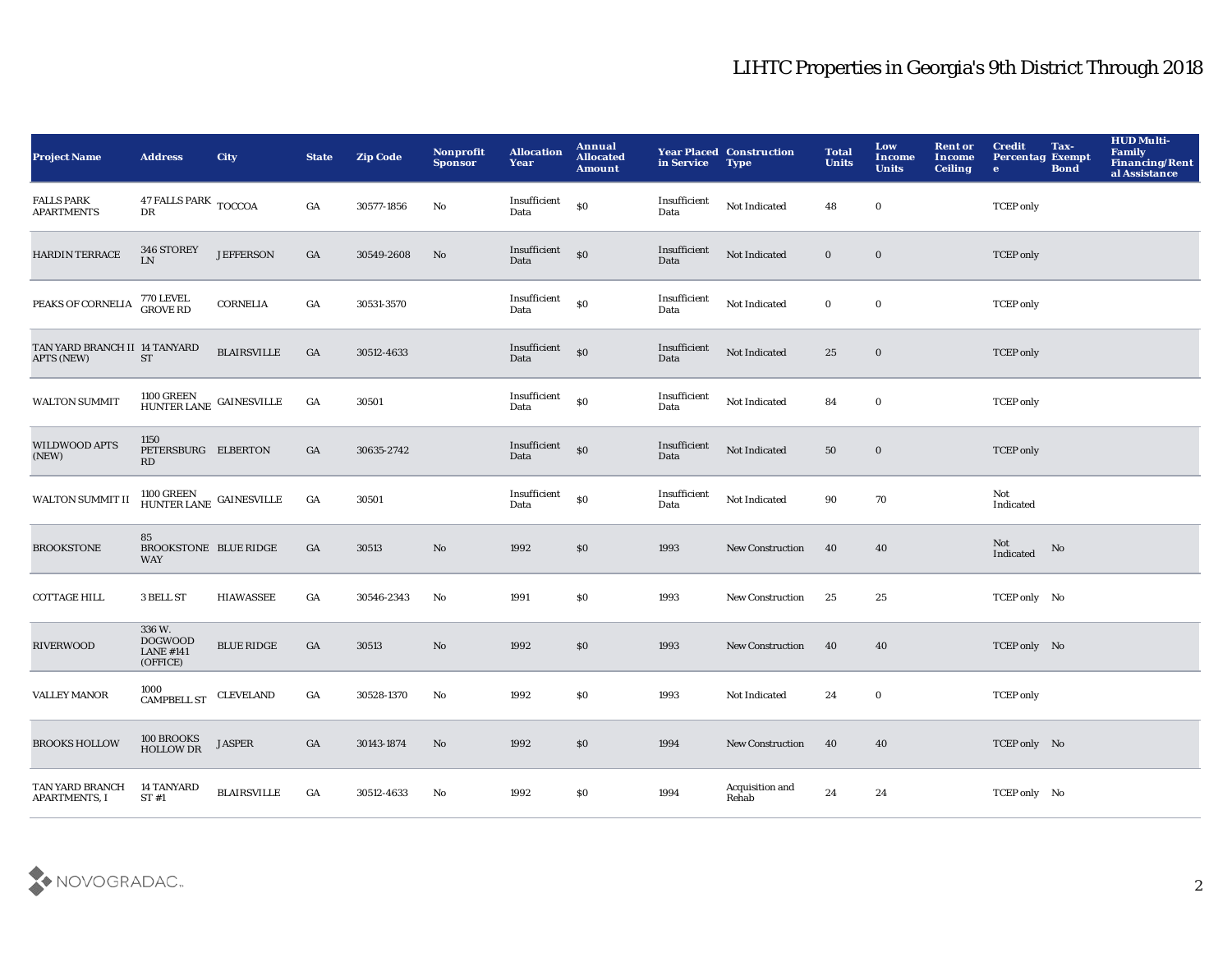| <b>Project Name</b>                                | <b>Address</b>                                                   | <b>City</b>        | <b>State</b> | <b>Zip Code</b> | Nonprofit<br><b>Sponsor</b> | <b>Allocation</b><br>Year | Annual<br><b>Allocated</b><br><b>Amount</b>      | in Service           | <b>Year Placed Construction</b><br><b>Type</b> | <b>Total</b><br><b>Units</b> | Low<br><b>Income</b><br><b>Units</b> | <b>Rent or</b><br>Income<br><b>Ceiling</b> | <b>Credit</b><br><b>Percentag Exempt</b><br>$\bullet$ | Tax-<br><b>Bond</b> | <b>HUD Multi-</b><br><b>Family</b><br>Financing/Rent<br>al Assistance |
|----------------------------------------------------|------------------------------------------------------------------|--------------------|--------------|-----------------|-----------------------------|---------------------------|--------------------------------------------------|----------------------|------------------------------------------------|------------------------------|--------------------------------------|--------------------------------------------|-------------------------------------------------------|---------------------|-----------------------------------------------------------------------|
| <b>FALLS PARK</b><br><b>APARTMENTS</b>             | $47$ FALLS PARK $\,$ TOCCOA<br>DR                                |                    | GA           | 30577-1856      | No                          | Insufficient<br>Data      | \$0                                              | Insufficient<br>Data | Not Indicated                                  | 48                           | $\bf{0}$                             |                                            | <b>TCEP</b> only                                      |                     |                                                                       |
| <b>HARDIN TERRACE</b>                              | 346 STOREY<br>${\rm LN}$                                         | <b>JEFFERSON</b>   | GA           | 30549-2608      | No                          | Insufficient<br>Data      | $\mathbf{S}$                                     | Insufficient<br>Data | Not Indicated                                  | $\mathbf{0}$                 | $\bf{0}$                             |                                            | <b>TCEP</b> only                                      |                     |                                                                       |
| PEAKS OF CORNELIA                                  | 770 LEVEL<br>GROVE RD                                            | <b>CORNELIA</b>    | GA           | 30531-3570      |                             | Insufficient<br>Data      | S <sub>0</sub>                                   | Insufficient<br>Data | Not Indicated                                  | $\bf{0}$                     | $\mathbf 0$                          |                                            | <b>TCEP</b> only                                      |                     |                                                                       |
| TAN YARD BRANCH II 14 TANYARD<br><b>APTS (NEW)</b> | <b>ST</b>                                                        | <b>BLAIRSVILLE</b> | GA           | 30512-4633      |                             | Insufficient<br>Data      | \$0                                              | Insufficient<br>Data | Not Indicated                                  | 25                           | $\bf{0}$                             |                                            | <b>TCEP</b> only                                      |                     |                                                                       |
| <b>WALTON SUMMIT</b>                               | $1100\, \mathrm{GREEN}$ GAINESVILLE HUNTER LANE $\,$             |                    | GA           | 30501           |                             | Insufficient<br>Data      | S <sub>0</sub>                                   | Insufficient<br>Data | Not Indicated                                  | 84                           | $\bf{0}$                             |                                            | <b>TCEP</b> only                                      |                     |                                                                       |
| WILDWOOD APTS<br>(NEW)                             | 1150<br>PETERSBURG ELBERTON<br>RD                                |                    | GA           | 30635-2742      |                             | Insufficient<br>Data      | $\mathbf{S}$                                     | Insufficient<br>Data | Not Indicated                                  | 50                           | $\bf{0}$                             |                                            | <b>TCEP</b> only                                      |                     |                                                                       |
| WALTON SUMMIT II                                   | $1100$ GREEN $$\sf GAINESVILLE$$ HUNTER LANE $$\sf GAINESVILLE$$ |                    | GA           | 30501           |                             | Insufficient<br>Data      | $\boldsymbol{\mathsf{S}}\boldsymbol{\mathsf{O}}$ | Insufficient<br>Data | Not Indicated                                  | 90                           | 70                                   |                                            | Not<br>Indicated                                      |                     |                                                                       |
| <b>BROOKSTONE</b>                                  | 85<br><b>BROOKSTONE BLUE RIDGE</b><br><b>WAY</b>                 |                    | GA           | 30513           | No                          | 1992                      | \$0                                              | 1993                 | <b>New Construction</b>                        | 40                           | 40                                   |                                            | Not<br>Indicated                                      | No                  |                                                                       |
| <b>COTTAGE HILL</b>                                | 3 BELL ST                                                        | <b>HIAWASSEE</b>   | GA           | 30546-2343      | No                          | 1991                      | \$0                                              | 1993                 | <b>New Construction</b>                        | 25                           | 25                                   |                                            | TCEP only No                                          |                     |                                                                       |
| <b>RIVERWOOD</b>                                   | 336 W.<br><b>DOGWOOD</b><br><b>LANE #141</b><br>(OFFICE)         | <b>BLUE RIDGE</b>  | GA           | 30513           | No                          | 1992                      | $\$0$                                            | 1993                 | <b>New Construction</b>                        | 40                           | 40                                   |                                            | TCEP only No                                          |                     |                                                                       |
| <b>VALLEY MANOR</b>                                | 1000<br>CAMPBELL ST                                              | <b>CLEVELAND</b>   | GA           | 30528-1370      | No                          | 1992                      | \$0                                              | 1993                 | Not Indicated                                  | 24                           | $\bf{0}$                             |                                            | <b>TCEP</b> only                                      |                     |                                                                       |
| <b>BROOKS HOLLOW</b>                               | 100 BROOKS<br>HOLLOW DR                                          | <b>JASPER</b>      | GA           | 30143-1874      | No                          | 1992                      | \$0                                              | 1994                 | <b>New Construction</b>                        | 40                           | 40                                   |                                            | TCEP only No                                          |                     |                                                                       |
| TAN YARD BRANCH<br><b>APARTMENTS, I</b>            | <b>14 TANYARD</b><br>ST#1                                        | <b>BLAIRSVILLE</b> | GA           | 30512-4633      | No                          | 1992                      | \$0                                              | 1994                 | Acquisition and<br>Rehab                       | 24                           | 24                                   |                                            | TCEP only No                                          |                     |                                                                       |

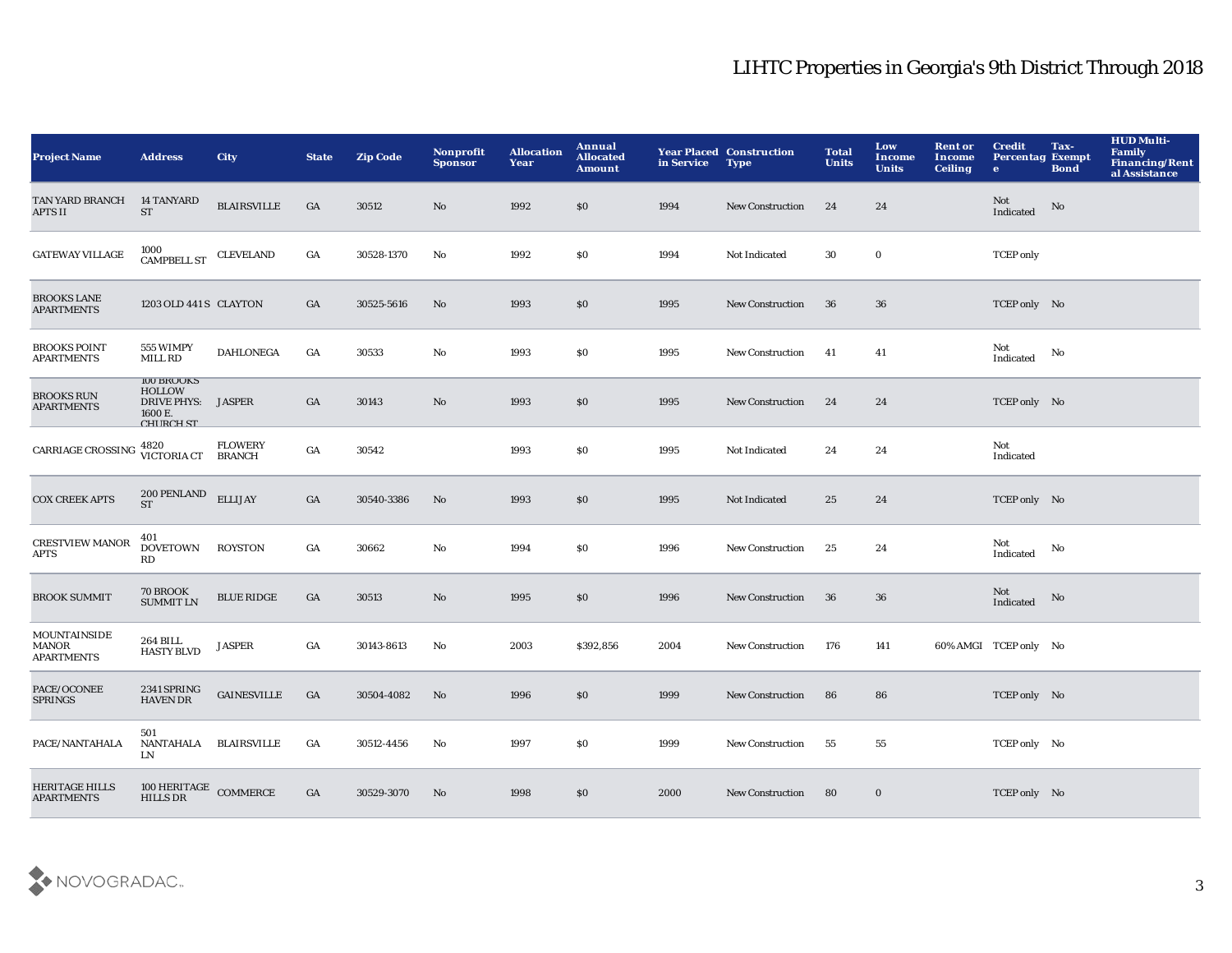| <b>Project Name</b>                               | <b>Address</b>                                                                          | <b>City</b>        | <b>State</b> | <b>Zip Code</b> | Nonprofit<br><b>Sponsor</b> | <b>Allocation</b><br>Year | Annual<br><b>Allocated</b><br><b>Amount</b> | in Service | <b>Year Placed Construction</b><br><b>Type</b> | <b>Total</b><br><b>Units</b> | Low<br>Income<br><b>Units</b> | <b>Rent or</b><br>Income<br><b>Ceiling</b> | <b>Credit</b><br><b>Percentag Exempt</b><br>$\bullet$ | Tax-<br><b>Bond</b> | <b>HUD Multi-</b><br><b>Family</b><br><b>Financing/Rent</b><br>al Assistance |
|---------------------------------------------------|-----------------------------------------------------------------------------------------|--------------------|--------------|-----------------|-----------------------------|---------------------------|---------------------------------------------|------------|------------------------------------------------|------------------------------|-------------------------------|--------------------------------------------|-------------------------------------------------------|---------------------|------------------------------------------------------------------------------|
| TAN YARD BRANCH<br><b>APTS II</b>                 | <b>14 TANYARD</b><br><b>ST</b>                                                          | <b>BLAIRSVILLE</b> | GA           | 30512           | No                          | 1992                      | \$0                                         | 1994       | <b>New Construction</b>                        | 24                           | 24                            |                                            | Not<br>Indicated                                      | No                  |                                                                              |
| <b>GATEWAY VILLAGE</b>                            | 1000<br>CAMPBELL ST                                                                     | <b>CLEVELAND</b>   | GA           | 30528-1370      | No                          | 1992                      | \$0                                         | 1994       | Not Indicated                                  | 30                           | $\mathbf{0}$                  |                                            | <b>TCEP</b> only                                      |                     |                                                                              |
| <b>BROOKS LANE</b><br><b>APARTMENTS</b>           | 1203 OLD 441 S CLAYTON                                                                  |                    | GA           | 30525-5616      | No                          | 1993                      | \$0                                         | 1995       | <b>New Construction</b>                        | 36                           | 36                            |                                            | TCEP only No                                          |                     |                                                                              |
| <b>BROOKS POINT</b><br><b>APARTMENTS</b>          | 555 WIMPY<br><b>MILL RD</b>                                                             | <b>DAHLONEGA</b>   | GA           | 30533           | No                          | 1993                      | \$0                                         | 1995       | <b>New Construction</b>                        | 41                           | 41                            |                                            | Not<br>Indicated                                      | No                  |                                                                              |
| <b>BROOKS RUN</b><br><b>APARTMENTS</b>            | <b>IOO BROOKS</b><br><b>HOLLOW</b><br>DRIVE PHYS: JASPER<br>1600 E.<br><b>CHIRCH ST</b> |                    | GA           | 30143           | No                          | 1993                      | \$0                                         | 1995       | <b>New Construction</b>                        | 24                           | 24                            |                                            | TCEP only No                                          |                     |                                                                              |
| <b>CARRIAGE CROSSING</b>                          | 4820<br>VICTORIA CT BRANCH                                                              | <b>FLOWERY</b>     | GA           | 30542           |                             | 1993                      | \$0                                         | 1995       | Not Indicated                                  | 24                           | 24                            |                                            | Not<br>Indicated                                      |                     |                                                                              |
| <b>COX CREEK APTS</b>                             | 200 PENLAND<br><b>ST</b>                                                                | <b>ELLIJAY</b>     | GA           | 30540-3386      | No                          | 1993                      | \$0                                         | 1995       | Not Indicated                                  | 25                           | 24                            |                                            | TCEP only No                                          |                     |                                                                              |
| <b>CRESTVIEW MANOR</b><br><b>APTS</b>             | 401<br><b>DOVETOWN</b><br>$\mathbf{R}\mathbf{D}$                                        | <b>ROYSTON</b>     | GA           | 30662           | No                          | 1994                      | \$0                                         | 1996       | <b>New Construction</b>                        | 25                           | 24                            |                                            | Not<br>Indicated                                      | No                  |                                                                              |
| <b>BROOK SUMMIT</b>                               | 70 BROOK<br><b>SUMMIT LN</b>                                                            | <b>BLUE RIDGE</b>  | GA           | 30513           | No                          | 1995                      | \$0                                         | 1996       | <b>New Construction</b>                        | -36                          | 36                            |                                            | Not<br>Indicated                                      | No                  |                                                                              |
| <b>MOUNTAINSIDE</b><br>MANOR<br><b>APARTMENTS</b> | <b>264 BILL</b><br><b>HASTY BLVD</b>                                                    | <b>JASPER</b>      | GA           | 30143-8613      | No                          | 2003                      | \$392,856                                   | 2004       | <b>New Construction</b>                        | 176                          | 141                           |                                            | 60% AMGI TCEP only No                                 |                     |                                                                              |
| PACE/OCONEE<br><b>SPRINGS</b>                     | 2341 SPRING<br><b>HAVEN DR</b>                                                          | <b>GAINESVILLE</b> | GA           | 30504-4082      | No                          | 1996                      | \$0                                         | 1999       | <b>New Construction</b>                        | 86                           | 86                            |                                            | TCEP only No                                          |                     |                                                                              |
| PACE/NANTAHALA                                    | 501<br>NANTAHALA<br>LN                                                                  | <b>BLAIRSVILLE</b> | GA           | 30512-4456      | No                          | 1997                      | \$0                                         | 1999       | <b>New Construction</b>                        | 55                           | 55                            |                                            | TCEP only No                                          |                     |                                                                              |
| <b>HERITAGE HILLS</b><br><b>APARTMENTS</b>        | $100\rm\, HERITAGE$ COMMERCE HILLS DR                                                   |                    | GA           | 30529-3070      | No                          | 1998                      | \$0                                         | 2000       | <b>New Construction</b>                        | 80                           | $\bf{0}$                      |                                            | TCEP only No                                          |                     |                                                                              |

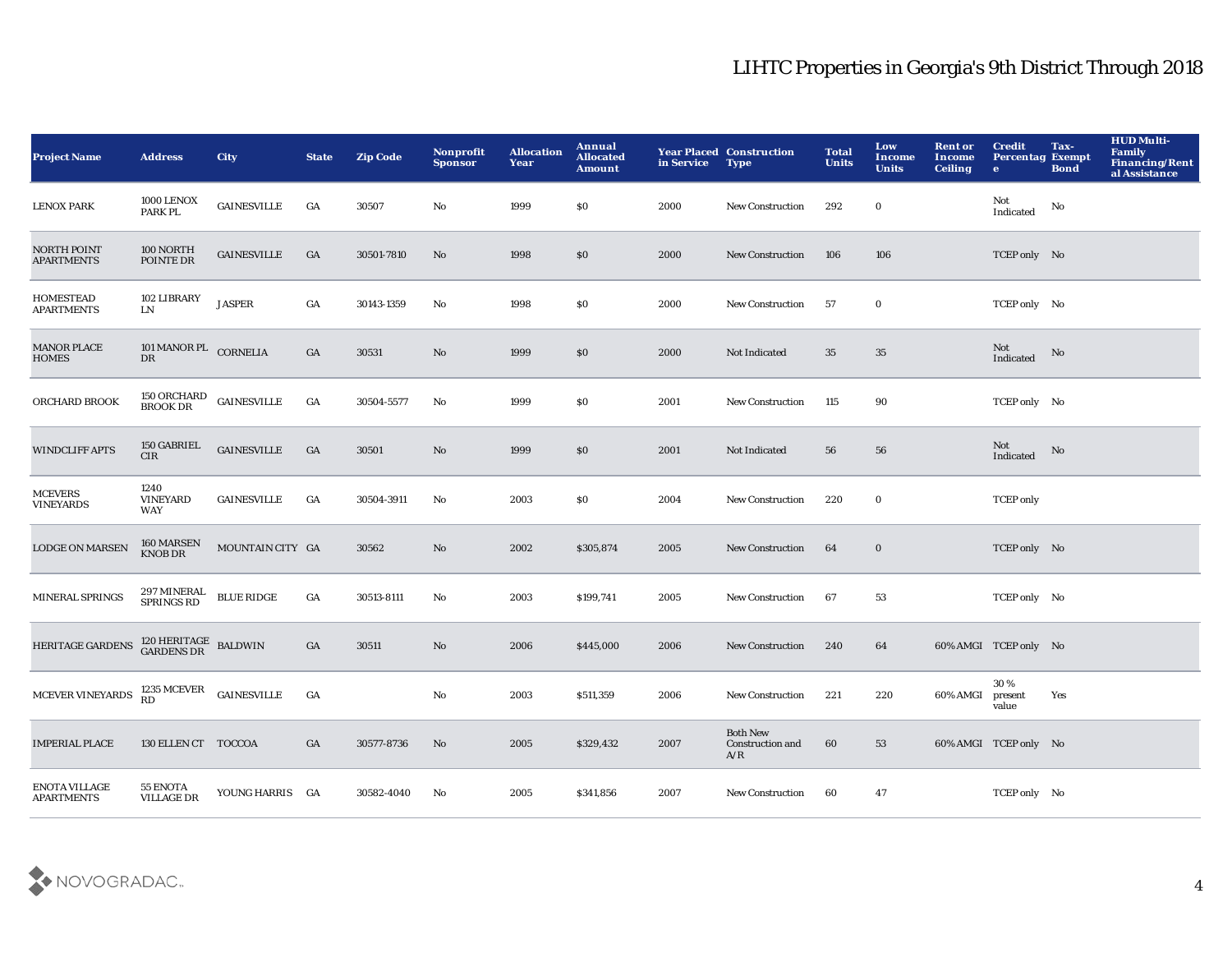| <b>Project Name</b>                       | <b>Address</b>                        | <b>City</b>                                  | <b>State</b>     | <b>Zip Code</b> | Nonprofit<br><b>Sponsor</b> | <b>Allocation</b><br>Year | Annual<br><b>Allocated</b><br><b>Amount</b> | in Service | <b>Year Placed Construction</b><br><b>Type</b> | <b>Total</b><br><b>Units</b> | Low<br>Income<br><b>Units</b> | <b>Rent or</b><br>Income<br><b>Ceiling</b> | <b>Credit</b><br><b>Percentag Exempt</b><br>$\bullet$ | Tax-<br><b>Bond</b> | <b>HUD Multi-</b><br><b>Family</b><br>Financing/Rent<br>al Assistance |
|-------------------------------------------|---------------------------------------|----------------------------------------------|------------------|-----------------|-----------------------------|---------------------------|---------------------------------------------|------------|------------------------------------------------|------------------------------|-------------------------------|--------------------------------------------|-------------------------------------------------------|---------------------|-----------------------------------------------------------------------|
| <b>LENOX PARK</b>                         | 1000 LENOX<br>PARK PL                 | $\sf GAINESVILLE$                            | GA               | 30507           | No                          | 1999                      | \$0                                         | 2000       | New Construction                               | 292                          | $\mathbf 0$                   |                                            | Not<br>Indicated                                      | No                  |                                                                       |
| <b>NORTH POINT</b><br><b>APARTMENTS</b>   | 100 NORTH<br>POINTE DR                | <b>GAINESVILLE</b>                           | GA               | 30501-7810      | $\mathbf{N}\mathbf{o}$      | 1998                      | $\$0$                                       | 2000       | New Construction                               | 106                          | 106                           |                                            | TCEP only No                                          |                     |                                                                       |
| <b>HOMESTEAD</b><br><b>APARTMENTS</b>     | 102 LIBRARY<br>LN                     | <b>JASPER</b>                                | $_{\mathrm{GA}}$ | 30143-1359      | No                          | 1998                      | \$0                                         | 2000       | <b>New Construction</b>                        | 57                           | $\bf{0}$                      |                                            | TCEP only No                                          |                     |                                                                       |
| <b>MANOR PLACE</b><br><b>HOMES</b>        | 101 MANOR PL CORNELIA<br>DR           |                                              | GA               | 30531           | No                          | 1999                      | $\$0$                                       | 2000       | Not Indicated                                  | 35                           | $35\,$                        |                                            | Not<br>Indicated                                      | No                  |                                                                       |
| ORCHARD BROOK                             | 150 ORCHARD<br>BROOK DR               | <b>GAINESVILLE</b>                           | $_{\mathrm{GA}}$ | 30504-5577      | No                          | 1999                      | \$0                                         | 2001       | <b>New Construction</b>                        | 115                          | 90                            |                                            | TCEP only No                                          |                     |                                                                       |
| <b>WINDCLIFF APTS</b>                     | 150 GABRIEL<br><b>CIR</b>             | <b>GAINESVILLE</b>                           | GA               | 30501           | No                          | 1999                      | \$0                                         | 2001       | Not Indicated                                  | 56                           | 56                            |                                            | Not<br>Indicated                                      | No                  |                                                                       |
| <b>MCEVERS</b><br><b>VINEYARDS</b>        | 1240<br><b>VINEYARD</b><br><b>WAY</b> | <b>GAINESVILLE</b>                           | GA               | 30504-3911      | No                          | 2003                      | $\$0$                                       | 2004       | <b>New Construction</b>                        | 220                          | $\bf{0}$                      |                                            | <b>TCEP</b> only                                      |                     |                                                                       |
| <b>LODGE ON MARSEN</b>                    | 160 MARSEN<br>KNOB DR                 | MOUNTAIN CITY GA                             |                  | 30562           | $\mathbf{N}\mathbf{o}$      | 2002                      | \$305,874                                   | 2005       | New Construction                               | 64                           | $\mathbf 0$                   |                                            | TCEP only No                                          |                     |                                                                       |
| <b>MINERAL SPRINGS</b>                    | 297 MINERAL<br>SPRINGS RD             | $\operatorname{BLUE}$ $\operatorname{RIDGE}$ | GA               | 30513-8111      | No                          | 2003                      | \$199,741                                   | 2005       | <b>New Construction</b>                        | 67                           | 53                            |                                            | TCEP only No                                          |                     |                                                                       |
| HERITAGE GARDENS                          | $120$ HERITAGE BALDWINGARDENS DR      |                                              | $_{\mathrm{GA}}$ | 30511           | $\rm No$                    | 2006                      | \$445,000                                   | 2006       | New Construction                               | 240                          | 64                            |                                            | 60% AMGI TCEP only No                                 |                     |                                                                       |
| MCEVER VINEYARDS                          | $1235 \text{ MCEVER}$ GAINESVILLE RD  |                                              | $_{\mathrm{GA}}$ |                 | No                          | 2003                      | \$511,359                                   | 2006       | <b>New Construction</b>                        | 221                          | 220                           | 60% AMGI                                   | 30%<br>present<br>value                               | Yes                 |                                                                       |
| <b>IMPERIAL PLACE</b>                     | 130 ELLEN CT TOCCOA                   |                                              | GA               | 30577-8736      | No                          | 2005                      | \$329,432                                   | 2007       | <b>Both New</b><br>Construction and<br>A/R     | 60                           | 53                            |                                            | 60% AMGI TCEP only No                                 |                     |                                                                       |
| <b>ENOTA VILLAGE</b><br><b>APARTMENTS</b> | 55 ENOTA<br><b>VILLAGE DR</b>         | YOUNG HARRIS GA                              |                  | 30582-4040      | No                          | 2005                      | \$341,856                                   | 2007       | <b>New Construction</b>                        | 60                           | 47                            |                                            | TCEP only No                                          |                     |                                                                       |

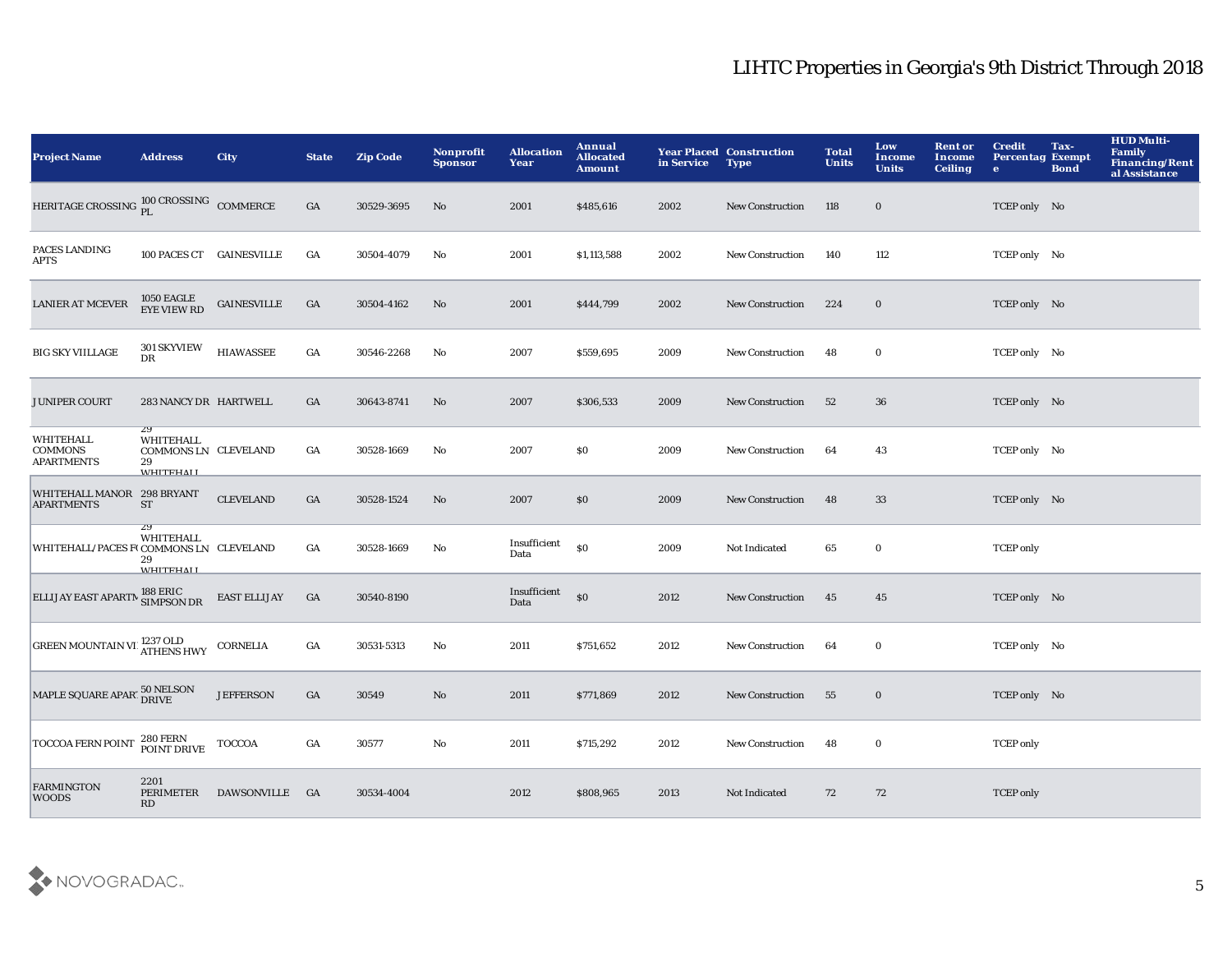| <b>Project Name</b>                                     | <b>Address</b>                                                    | <b>City</b>         | <b>State</b>     | <b>Zip Code</b> | Nonprofit<br><b>Sponsor</b> | <b>Allocation</b><br>Year | Annual<br><b>Allocated</b><br><b>Amount</b> | in Service | <b>Year Placed Construction</b><br><b>Type</b> | <b>Total</b><br><b>Units</b> | Low<br>Income<br><b>Units</b> | <b>Rent or</b><br>Income<br><b>Ceiling</b> | <b>Credit</b><br><b>Percentag Exempt</b><br>$\bullet$ | Tax-<br><b>Bond</b> | <b>HUD Multi-</b><br>Family<br><b>Financing/Rent</b><br>al Assistance |
|---------------------------------------------------------|-------------------------------------------------------------------|---------------------|------------------|-----------------|-----------------------------|---------------------------|---------------------------------------------|------------|------------------------------------------------|------------------------------|-------------------------------|--------------------------------------------|-------------------------------------------------------|---------------------|-----------------------------------------------------------------------|
| HERITAGE CROSSING PI. COMMERCE                          |                                                                   |                     | GA               | 30529-3695      | No                          | 2001                      | \$485,616                                   | 2002       | <b>New Construction</b>                        | 118                          | $\mathbf 0$                   |                                            | TCEP only No                                          |                     |                                                                       |
| PACES LANDING<br><b>APTS</b>                            | 100 PACES CT GAINESVILLE                                          |                     | GA               | 30504-4079      | No                          | 2001                      | \$1,113,588                                 | 2002       | New Construction                               | 140                          | 112                           |                                            | TCEP only No                                          |                     |                                                                       |
| <b>LANIER AT MCEVER</b>                                 | 1050 EAGLE<br>EYE VIEW RD                                         | <b>GAINESVILLE</b>  | GA               | 30504-4162      | No                          | 2001                      | \$444,799                                   | 2002       | <b>New Construction</b>                        | 224                          | $\mathbf 0$                   |                                            | TCEP only No                                          |                     |                                                                       |
| <b>BIG SKY VIILLAGE</b>                                 | <b>301 SKYVIEW</b><br>DR                                          | <b>HIAWASSEE</b>    | GA               | 30546-2268      | No                          | 2007                      | \$559,695                                   | 2009       | <b>New Construction</b>                        | 48                           | $\bf{0}$                      |                                            | TCEP only No                                          |                     |                                                                       |
| <b>JUNIPER COURT</b>                                    | 283 NANCY DR HARTWELL                                             |                     | $_{\mathrm{GA}}$ | 30643-8741      | $\mathbf{N}\mathbf{o}$      | 2007                      | \$306,533                                   | 2009       | New Construction                               | 52                           | 36                            |                                            | TCEP only No                                          |                     |                                                                       |
| <b>WHITEHALL</b><br><b>COMMONS</b><br><b>APARTMENTS</b> | 29<br>WHITEHALL<br>COMMONS LN CLEVELAND<br>29<br><b>WHITFHAII</b> |                     | GA               | 30528-1669      | No                          | 2007                      | \$0                                         | 2009       | <b>New Construction</b>                        | 64                           | 43                            |                                            | TCEP only No                                          |                     |                                                                       |
| WHITEHALL MANOR 298 BRYANT<br><b>APARTMENTS</b>         | <b>ST</b>                                                         | <b>CLEVELAND</b>    | GA               | 30528-1524      | No                          | 2007                      | \$0                                         | 2009       | <b>New Construction</b>                        | 48                           | 33                            |                                            | TCEP only No                                          |                     |                                                                       |
| WHITEHALL/PACES F(COMMONS LN CLEVELAND                  | $\overline{29}$<br>WHITEHALL<br>29<br><b>WHITEHALI</b>            |                     | GA               | 30528-1669      | No                          | Insufficient<br>Data      | \$0                                         | 2009       | Not Indicated                                  | 65                           | $\bf{0}$                      |                                            | <b>TCEP</b> only                                      |                     |                                                                       |
| ELLIJAY EAST APARTM SIMPSON DR                          |                                                                   | <b>EAST ELLIJAY</b> | GA               | 30540-8190      |                             | Insufficient<br>Data      | \$0                                         | 2012       | <b>New Construction</b>                        | 45                           | 45                            |                                            | TCEP only No                                          |                     |                                                                       |
| <b>GREEN MOUNTAIN VILATHENS HWY</b>                     |                                                                   | <b>CORNELIA</b>     | GA               | 30531-5313      | No                          | 2011                      | \$751,652                                   | 2012       | New Construction                               | 64                           | $\bf{0}$                      |                                            | TCEP only No                                          |                     |                                                                       |
| MAPLE SQUARE APAR150 NELSON                             |                                                                   | <b>JEFFERSON</b>    | GA               | 30549           | $\rm No$                    | 2011                      | \$771,869                                   | 2012       | <b>New Construction</b>                        | 55                           | $\bf{0}$                      |                                            | TCEP only No                                          |                     |                                                                       |
| <b>TOCCOA FERN POINT</b>                                | 280 FERN<br>POINT DRIVE                                           | <b>TOCCOA</b>       | GA               | 30577           | No                          | 2011                      | \$715,292                                   | 2012       | New Construction                               | 48                           | $\bf{0}$                      |                                            | <b>TCEP</b> only                                      |                     |                                                                       |
| <b>FARMINGTON</b><br><b>WOODS</b>                       | 2201<br>PERIMETER<br>RD                                           | <b>DAWSONVILLE</b>  | <b>GA</b>        | 30534-4004      |                             | 2012                      | \$808,965                                   | 2013       | Not Indicated                                  | 72                           | 72                            |                                            | <b>TCEP</b> only                                      |                     |                                                                       |